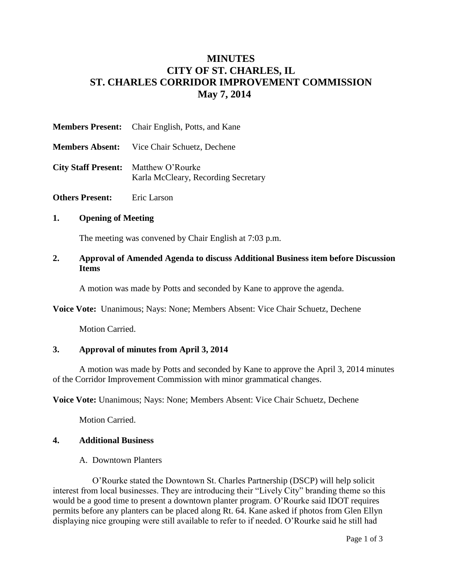# **MINUTES CITY OF ST. CHARLES, IL ST. CHARLES CORRIDOR IMPROVEMENT COMMISSION May 7, 2014**

|                                             | <b>Members Present:</b> Chair English, Potts, and Kane |
|---------------------------------------------|--------------------------------------------------------|
|                                             | <b>Members Absent:</b> Vice Chair Schuetz, Dechene     |
| <b>City Staff Present:</b> Matthew O'Rourke | Karla McCleary, Recording Secretary                    |

**Others Present:** Eric Larson

### **1. Opening of Meeting**

The meeting was convened by Chair English at 7:03 p.m.

#### **2. Approval of Amended Agenda to discuss Additional Business item before Discussion Items**

A motion was made by Potts and seconded by Kane to approve the agenda.

**Voice Vote:** Unanimous; Nays: None; Members Absent: Vice Chair Schuetz, Dechene

Motion Carried.

### **3. Approval of minutes from April 3, 2014**

A motion was made by Potts and seconded by Kane to approve the April 3, 2014 minutes of the Corridor Improvement Commission with minor grammatical changes.

**Voice Vote:** Unanimous; Nays: None; Members Absent: Vice Chair Schuetz, Dechene

Motion Carried.

#### **4. Additional Business**

A. Downtown Planters

O'Rourke stated the Downtown St. Charles Partnership (DSCP) will help solicit interest from local businesses. They are introducing their "Lively City" branding theme so this would be a good time to present a downtown planter program. O'Rourke said IDOT requires permits before any planters can be placed along Rt. 64. Kane asked if photos from Glen Ellyn displaying nice grouping were still available to refer to if needed. O'Rourke said he still had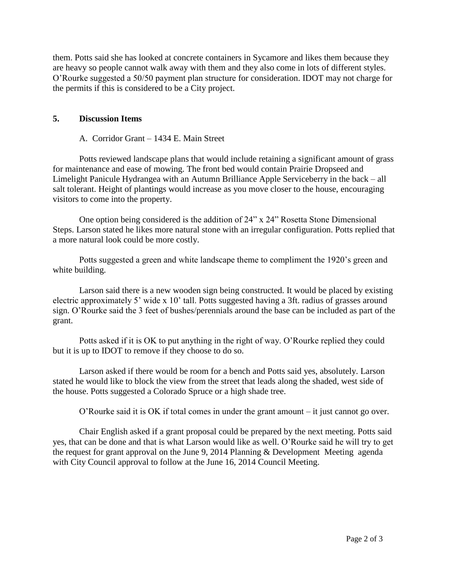them. Potts said she has looked at concrete containers in Sycamore and likes them because they are heavy so people cannot walk away with them and they also come in lots of different styles. O'Rourke suggested a 50/50 payment plan structure for consideration. IDOT may not charge for the permits if this is considered to be a City project.

# **5. Discussion Items**

# A. Corridor Grant – 1434 E. Main Street

Potts reviewed landscape plans that would include retaining a significant amount of grass for maintenance and ease of mowing. The front bed would contain Prairie Dropseed and Limelight Panicule Hydrangea with an Autumn Brilliance Apple Serviceberry in the back – all salt tolerant. Height of plantings would increase as you move closer to the house, encouraging visitors to come into the property.

One option being considered is the addition of 24" x 24" Rosetta Stone Dimensional Steps. Larson stated he likes more natural stone with an irregular configuration. Potts replied that a more natural look could be more costly.

Potts suggested a green and white landscape theme to compliment the 1920's green and white building.

Larson said there is a new wooden sign being constructed. It would be placed by existing electric approximately 5' wide x 10' tall. Potts suggested having a 3ft. radius of grasses around sign. O'Rourke said the 3 feet of bushes/perennials around the base can be included as part of the grant.

Potts asked if it is OK to put anything in the right of way. O'Rourke replied they could but it is up to IDOT to remove if they choose to do so.

Larson asked if there would be room for a bench and Potts said yes, absolutely. Larson stated he would like to block the view from the street that leads along the shaded, west side of the house. Potts suggested a Colorado Spruce or a high shade tree.

O'Rourke said it is OK if total comes in under the grant amount – it just cannot go over.

Chair English asked if a grant proposal could be prepared by the next meeting. Potts said yes, that can be done and that is what Larson would like as well. O'Rourke said he will try to get the request for grant approval on the June 9, 2014 Planning & Development Meeting agenda with City Council approval to follow at the June 16, 2014 Council Meeting.